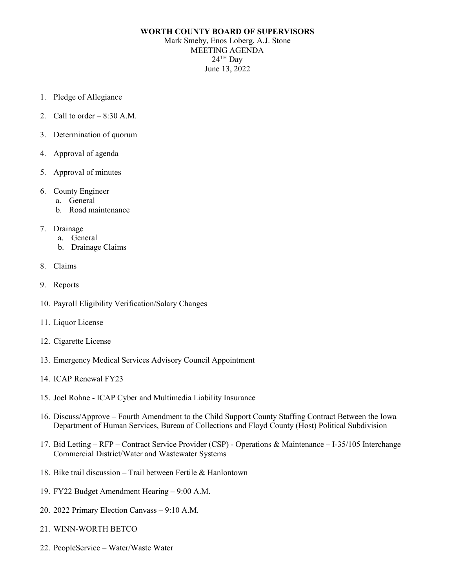## **WORTH COUNTY BOARD OF SUPERVISORS**

Mark Smeby, Enos Loberg, A.J. Stone MEETING AGENDA  $24$ <sup>TH</sup> Day June 13, 2022

- 1. Pledge of Allegiance
- 2. Call to order  $-8:30$  A.M.
- 3. Determination of quorum
- 4. Approval of agenda
- 5. Approval of minutes
- 6. County Engineer
	- a. General
	- b. Road maintenance
- 7. Drainage
	- a. General
	- b. Drainage Claims
- 8. Claims
- 9. Reports
- 10. Payroll Eligibility Verification/Salary Changes
- 11. Liquor License
- 12. Cigarette License
- 13. Emergency Medical Services Advisory Council Appointment
- 14. ICAP Renewal FY23
- 15. Joel Rohne ICAP Cyber and Multimedia Liability Insurance
- 16. Discuss/Approve Fourth Amendment to the Child Support County Staffing Contract Between the Iowa Department of Human Services, Bureau of Collections and Floyd County (Host) Political Subdivision
- 17. Bid Letting RFP Contract Service Provider (CSP) Operations & Maintenance I-35/105 Interchange Commercial District/Water and Wastewater Systems
- 18. Bike trail discussion Trail between Fertile & Hanlontown
- 19. FY22 Budget Amendment Hearing 9:00 A.M.
- 20. 2022 Primary Election Canvass 9:10 A.M.
- 21. WINN-WORTH BETCO
- 22. PeopleService Water/Waste Water